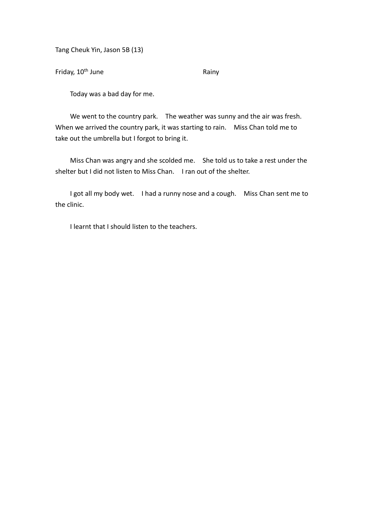Tang Cheuk Yin, Jason 5B (13)

Friday, 10<sup>th</sup> June Rainy

Today was a bad day for me.

We went to the country park. The weather was sunny and the air was fresh. When we arrived the country park, it was starting to rain. Miss Chan told me to take out the umbrella but I forgot to bring it.

Miss Chan was angry and she scolded me. She told us to take a rest under the shelter but I did not listen to Miss Chan. I ran out of the shelter.

I got all my body wet. I had a runny nose and a cough. Miss Chan sent me to the clinic.

I learnt that I should listen to the teachers.